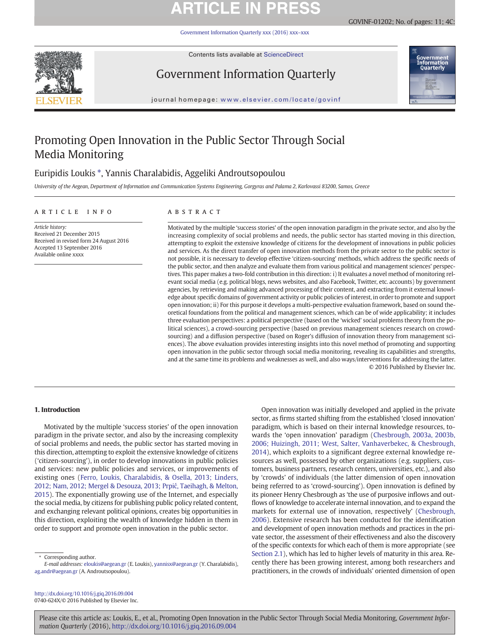# **ARTICLE IN PRESS**

[Government Information Quarterly xxx \(2016\) xxx](http://dx.doi.org/10.1016/j.giq.2016.09.004)–xxx



GOVINF-01202; No. of pages: 11; 4C:

Contents lists available at ScienceDirect

# Government Information Quarterly



journal homepage: <www.elsevier.com/locate/govinf>

# Promoting Open Innovation in the Public Sector Through Social Media Monitoring

# Euripidis Loukis ⁎, Yannis Charalabidis, Aggeliki Androutsopoulou

University of the Aegean, Department of Information and Communication Systems Engineering, Gorgyras and Palama 2, Karlovassi 83200, Samos, Greece

# article info abstract

Article history: Received 21 December 2015 Received in revised form 24 August 2016 Accepted 13 September 2016 Available online xxxx

Motivated by the multiple 'success stories' of the open innovation paradigm in the private sector, and also by the increasing complexity of social problems and needs, the public sector has started moving in this direction, attempting to exploit the extensive knowledge of citizens for the development of innovations in public policies and services. As the direct transfer of open innovation methods from the private sector to the public sector is not possible, it is necessary to develop effective 'citizen-sourcing' methods, which address the specific needs of the public sector, and then analyze and evaluate them from various political and management sciences' perspectives. This paper makes a two-fold contribution in this direction: i) It evaluates a novel method of monitoring relevant social media (e.g. political blogs, news websites, and also Facebook, Twitter, etc. accounts) by government agencies, by retrieving and making advanced processing of their content, and extracting from it external knowledge about specific domains of government activity or public policies of interest, in order to promote and support open innovation; ii) For this purpose it develops a multi-perspective evaluation framework, based on sound theoretical foundations from the political and management sciences, which can be of wide applicability; it includes three evaluation perspectives: a political perspective (based on the 'wicked' social problems theory from the political sciences), a crowd-sourcing perspective (based on previous management sciences research on crowdsourcing) and a diffusion perspective (based on Roger's diffusion of innovation theory from management sciences). The above evaluation provides interesting insights into this novel method of promoting and supporting open innovation in the public sector through social media monitoring, revealing its capabilities and strengths, and at the same time its problems and weaknesses as well, and also ways/interventions for addressing the latter. © 2016 Published by Elsevier Inc.

# 1. Introduction

Motivated by the multiple 'success stories' of the open innovation paradigm in the private sector, and also by the increasing complexity of social problems and needs, the public sector has started moving in this direction, attempting to exploit the extensive knowledge of citizens ('citizen-sourcing'), in order to develop innovations in public policies and services: new public policies and services, or improvements of existing ones [\(Ferro, Loukis, Charalabidis, & Osella, 2013; Linders,](#page-10-0) [2012; Nam, 2012; Mergel & Desouza, 2013; Prpi](#page-10-0)ć, Taeihagh, & Melton, [2015\)](#page-10-0). The exponentially growing use of the Internet, and especially the social media, by citizens for publishing public policy related content, and exchanging relevant political opinions, creates big opportunities in this direction, exploiting the wealth of knowledge hidden in them in order to support and promote open innovation in the public sector.

E-mail addresses: eloukis@aegean.gr (E. Loukis), yannisx@aegean.gr (Y. Charalabidis), [ag.andr@aegean.gr](mailto:ag.andr@aegean.gr) (A. Androutsopoulou).

<http://dx.doi.org/10.1016/j.giq.2016.09.004> 0740-624X/© 2016 Published by Elsevier Inc.

Open innovation was initially developed and applied in the private sector, as firms started shifting from the established 'closed innovation' paradigm, which is based on their internal knowledge resources, towards the 'open innovation' paradigm ([Chesbrough, 2003a, 2003b,](#page-9-0) [2006; Huizingh, 2011; West, Salter, Vanhaverbekec, & Chesbrough,](#page-9-0) [2014\)](#page-9-0), which exploits to a significant degree external knowledge resources as well, possessed by other organizations (e.g. suppliers, customers, business partners, research centers, universities, etc.), and also by 'crowds' of individuals (the latter dimension of open innovation being referred to as 'crowd-sourcing'). Open innovation is defined by its pioneer Henry Chesbrough as 'the use of purposive inflows and outflows of knowledge to accelerate internal innovation, and to expand the markets for external use of innovation, respectively' ([Chesbrough,](#page-10-0) [2006\)](#page-10-0). Extensive research has been conducted for the identification and development of open innovation methods and practices in the private sector, the assessment of their effectiveness and also the discovery of the specific contexts for which each of them is more appropriate (see [Section 2.1](#page-1-0)), which has led to higher levels of maturity in this area. Recently there has been growing interest, among both researchers and practitioners, in the crowds of individuals' oriented dimension of open

Corresponding author.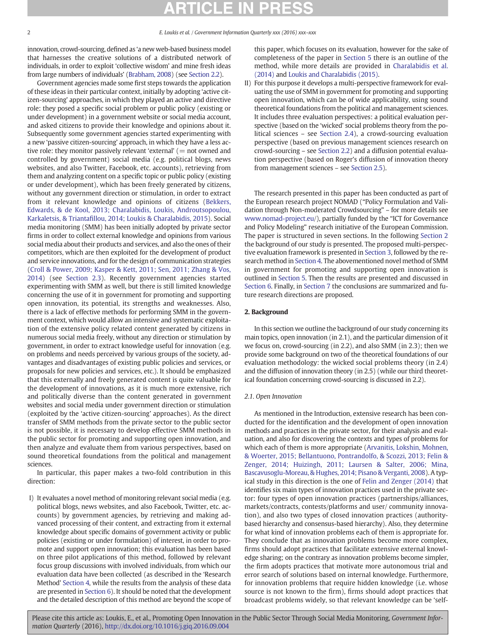<span id="page-1-0"></span>innovation, crowd-sourcing, defined as 'a new web-based business model that harnesses the creative solutions of a distributed network of individuals, in order to exploit 'collective wisdom' and mine fresh ideas from large numbers of individuals' ([Brabham, 2008](#page-9-0)) (see [Section 2.2\)](#page-2-0).

Government agencies made some first steps towards the application of these ideas in their particular context, initially by adopting 'active citizen-sourcing' approaches, in which they played an active and directive role: they posed a specific social problem or public policy (existing or under development) in a government website or social media account, and asked citizens to provide their knowledge and opinions about it. Subsequently some government agencies started experimenting with a new 'passive citizen-sourcing' approach, in which they have a less active role: they monitor passively relevant 'external'  $(=$  not owned and controlled by government) social media (e.g. political blogs, news websites, and also Twitter, Facebook, etc. accounts), retrieving from them and analyzing content on a specific topic or public policy (existing or under development), which has been freely generated by citizens, without any government direction or stimulation, in order to extract from it relevant knowledge and opinions of citizens ([Bekkers,](#page-9-0) [Edwards, & de Kool, 2013; Charalabidis, Loukis, Androutsopoulou,](#page-9-0) Karkaletsis, & Triantafi[llou, 2014; Loukis & Charalabidis, 2015](#page-9-0)). Social media monitoring (SMM) has been initially adopted by private sector firms in order to collect external knowledge and opinions from various social media about their products and services, and also the ones of their competitors, which are then exploited for the development of product and service innovations, and for the design of communication strategies [\(Croll & Power, 2009; Kasper & Kett, 2011; Sen, 2011; Zhang & Vos,](#page-10-0) [2014](#page-10-0)) (see [Section 2.3\)](#page-2-0). Recently government agencies started experimenting with SMM as well, but there is still limited knowledge concerning the use of it in government for promoting and supporting open innovation, its potential, its strengths and weaknesses. Also, there is a lack of effective methods for performing SMM in the government context, which would allow an intensive and systematic exploitation of the extensive policy related content generated by citizens in numerous social media freely, without any direction or stimulation by government, in order to extract knowledge useful for innovation (e.g. on problems and needs perceived by various groups of the society, advantages and disadvantages of existing public policies and services, or proposals for new policies and services, etc.). It should be emphasized that this externally and freely generated content is quite valuable for the development of innovations, as it is much more extensive, rich and politically diverse than the content generated in government websites and social media under government direction or stimulation (exploited by the 'active citizen-sourcing' approaches). As the direct transfer of SMM methods from the private sector to the public sector is not possible, it is necessary to develop effective SMM methods in the public sector for promoting and supporting open innovation, and then analyze and evaluate them from various perspectives, based on sound theoretical foundations from the political and management sciences.

In particular, this paper makes a two-fold contribution in this direction:

I) It evaluates a novel method of monitoring relevant social media (e.g. political blogs, news websites, and also Facebook, Twitter, etc. accounts) by government agencies, by retrieving and making advanced processing of their content, and extracting from it external knowledge about specific domains of government activity or public policies (existing or under formulation) of interest, in order to promote and support open innovation; this evaluation has been based on three pilot applications of this method, followed by relevant focus group discussions with involved individuals, from which our evaluation data have been collected (as described in the 'Research Method' [Section 4](#page-4-0), while the results from the analysis of these data are presented in [Section 6](#page-6-0)). It should be noted that the development and the detailed description of this method are beyond the scope of this paper, which focuses on its evaluation, however for the sake of completeness of the paper in [Section 5](#page-5-0) there is an outline of the method, while more details are provided in [Charalabidis et al.](#page-9-0) [\(2014\)](#page-9-0) and [Loukis and Charalabidis \(2015\)](#page-10-0).

II) For this purpose it develops a multi-perspective framework for evaluating the use of SMM in government for promoting and supporting open innovation, which can be of wide applicability, using sound theoretical foundations from the political and management sciences. It includes three evaluation perspectives: a political evaluation perspective (based on the 'wicked' social problems theory from the political sciences – see [Section 2.4](#page-3-0)), a crowd-sourcing evaluation perspective (based on previous management sciences research on crowd-sourcing – see [Section 2.2](#page-2-0)) and a diffusion potential evaluation perspective (based on Roger's diffusion of innovation theory from management sciences – see [Section 2.5\)](#page-3-0).

The research presented in this paper has been conducted as part of the European research project NOMAD ("Policy Formulation and Validation through Non-moderated Crowdsourcing" – for more details see [www.nomad-project.eu](http://www.nomad-project.eu)/), partially funded by the "ICT for Governance and Policy Modeling" research initiative of the European Commission. The paper is structured in seven sections. In the following Section 2 the background of our study is presented. The proposed multi-perspective evaluation framework is presented in [Section 3](#page-3-0), followed by the research method in [Section 4.](#page-4-0) The abovementioned novel method of SMM in government for promoting and supporting open innovation is outlined in [Section 5.](#page-5-0) Then the results are presented and discussed in [Section 6](#page-6-0). Finally, in [Section 7](#page-8-0) the conclusions are summarized and future research directions are proposed.

### 2. Background

In this section we outline the background of our study concerning its main topics, open innovation (in 2.1), and the particular dimension of it we focus on, crowd-sourcing (in 2.2), and also SMM (in 2.3); then we provide some background on two of the theoretical foundations of our evaluation methodology: the wicked social problems theory (in 2.4) and the diffusion of innovation theory (in 2.5) (while our third theoretical foundation concerning crowd-sourcing is discussed in 2.2).

# 2.1. Open Innovation

As mentioned in the Introduction, extensive research has been conducted for the identification and the development of open innovation methods and practices in the private sector, for their analysis and evaluation, and also for discovering the contexts and types of problems for which each of them is more appropriate ([Arvanitis, Lokshin, Mohnen,](#page-9-0) [& Woerter, 2015; Bellantuono, Pontrandolfo, & Scozzi, 2013; Felin &](#page-9-0) [Zenger, 2014; Huizingh, 2011; Laursen & Salter, 2006; Mina,](#page-9-0) [Bascavusoglu-Moreau, & Hughes, 2014; Pisano & Verganti, 2008\)](#page-9-0). A typical study in this direction is the one of [Felin and Zenger \(2014\)](#page-10-0) that identifies six main types of innovation practices used in the private sector: four types of open innovation practices (partnerships/alliances, markets/contracts, contests/platforms and user/ community innovation), and also two types of closed innovation practices (authoritybased hierarchy and consensus-based hierarchy). Also, they determine for what kind of innovation problems each of them is appropriate for. They conclude that as innovation problems become more complex, firms should adopt practices that facilitate extensive external knowledge sharing; on the contrary as innovation problems become simpler, the firm adopts practices that motivate more autonomous trial and error search of solutions based on internal knowledge. Furthermore, for innovation problems that require hidden knowledge (i.e. whose source is not known to the firm), firms should adopt practices that broadcast problems widely, so that relevant knowledge can be 'self-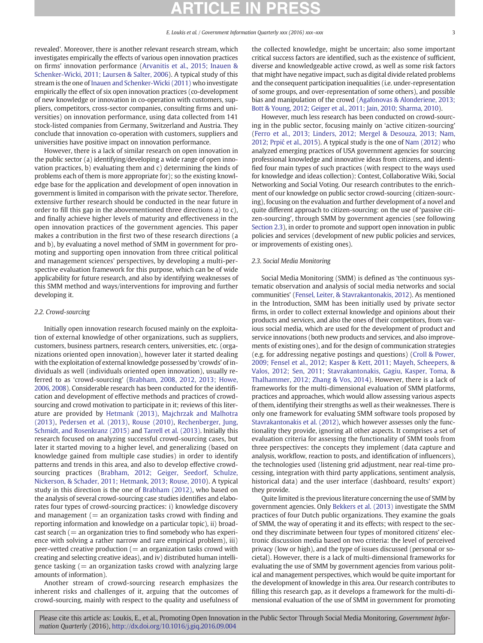<span id="page-2-0"></span>revealed'. Moreover, there is another relevant research stream, which investigates empirically the effects of various open innovation practices on firms' innovation performance ([Arvanitis et al., 2015; Inauen &](#page-9-0) [Schenker-Wicki, 2011; Laursen & Salter, 2006](#page-9-0)). A typical study of this stream is the one of [Inauen and Schenker-Wicki \(2011\)](#page-10-0) who investigate empirically the effect of six open innovation practices (co-development of new knowledge or innovation in co-operation with customers, suppliers, competitors, cross-sector companies, consulting firms and universities) on innovation performance, using data collected from 141 stock-listed companies from Germany, Switzerland and Austria. They conclude that innovation co-operation with customers, suppliers and universities have positive impact on innovation performance.

However, there is a lack of similar research on open innovation in the public sector (a) identifying/developing a wide range of open innovation practices, b) evaluating them and c) determining the kinds of problems each of them is more appropriate for); so the existing knowledge base for the application and development of open innovation in government is limited in comparison with the private sector. Therefore, extensive further research should be conducted in the near future in order to fill this gap in the abovementioned three directions a) to c), and finally achieve higher levels of maturity and effectiveness in the open innovation practices of the government agencies. This paper makes a contribution in the first two of these research directions (a and b), by evaluating a novel method of SMM in government for promoting and supporting open innovation from three critical political and management sciences' perspectives, by developing a multi-perspective evaluation framework for this purpose, which can be of wide applicability for future research, and also by identifying weaknesses of this SMM method and ways/interventions for improving and further developing it.

### 2.2. Crowd-sourcing

Initially open innovation research focused mainly on the exploitation of external knowledge of other organizations, such as suppliers, customers, business partners, research centers, universities, etc. (organizations oriented open innovation), however later it started dealing with the exploitation of external knowledge possessed by 'crowds' of individuals as well (individuals oriented open innovation), usually referred to as 'crowd-sourcing' [\(Brabham, 2008, 2012, 2013; Howe,](#page-9-0) [2006, 2008\)](#page-9-0). Considerable research has been conducted for the identification and development of effective methods and practices of crowdsourcing and crowd motivation to participate in it; reviews of this literature are provided by [Hetmank \(2013\)](#page-10-0), [Majchrzak and Malhotra](#page-10-0) [\(2013\)](#page-10-0), [Pedersen et al. \(2013\)](#page-10-0), [Rouse \(2010\)](#page-10-0), [Rechenberger, Jung,](#page-10-0) [Schmidt, and Rosenkranz \(2015\)](#page-10-0) and [Tarrell et al. \(2013\)](#page-10-0). Initially this research focused on analyzing successful crowd-sourcing cases, but later it started moving to a higher level, and generalizing (based on knowledge gained from multiple case studies) in order to identify patterns and trends in this area, and also to develop effective crowdsourcing practices [\(Brabham, 2012; Geiger, Seedorf, Schulze,](#page-9-0) [Nickerson, & Schader, 2011; Hetmank, 2013; Rouse, 2010\)](#page-9-0). A typical study in this direction is the one of [Brabham \(2012\)](#page-9-0), who based on the analysis of several crowd-sourcing case studies identifies and elaborates four types of crowd-sourcing practices: i) knowledge discovery and management  $(=$  an organization tasks crowd with finding and reporting information and knowledge on a particular topic), ii) broadcast search  $(=$  an organization tries to find somebody who has experience with solving a rather narrow and rare empirical problem), iii) peer-vetted creative production  $(=$  an organization tasks crowd with creating and selecting creative ideas), and iv) distributed human intelligence tasking  $(=$  an organization tasks crowd with analyzing large amounts of information).

Another stream of crowd-sourcing research emphasizes the inherent risks and challenges of it, arguing that the outcomes of crowd-sourcing, mainly with respect to the quality and usefulness of the collected knowledge, might be uncertain; also some important critical success factors are identified, such as the existence of sufficient, diverse and knowledgeable active crowd, as well as some risk factors that might have negative impact, such as digital divide related problems and the consequent participation inequalities (i.e. under-representation of some groups, and over-representation of some others), and possible bias and manipulation of the crowd [\(Agafonovas & Alonderiene, 2013;](#page-9-0) [Bott & Young, 2012; Geiger et al., 2011; Jain, 2010; Sharma, 2010\)](#page-9-0).

However, much less research has been conducted on crowd-sourcing in the public sector, focusing mainly on 'active citizen-sourcing' [\(Ferro et al., 2013; Linders, 2012; Mergel & Desouza, 2013; Nam,](#page-10-0) 2012; Prpić [et al., 2015\)](#page-10-0). A typical study is the one of [Nam \(2012\)](#page-10-0) who analyzed emerging practices of USA government agencies for sourcing professional knowledge and innovative ideas from citizens, and identified four main types of such practices (with respect to the ways used for knowledge and ideas collection): Contest, Collaborative Wiki, Social Networking and Social Voting. Our research contributes to the enrichment of our knowledge on public sector crowd-sourcing (citizen-sourcing), focusing on the evaluation and further development of a novel and quite different approach to citizen-sourcing: on the use of 'passive citizen-sourcing', through SMM by government agencies (see following Section 2.3), in order to promote and support open innovation in public policies and services (development of new public policies and services, or improvements of existing ones).

# 2.3. Social Media Monitoring

Social Media Monitoring (SMM) is defined as 'the continuous systematic observation and analysis of social media networks and social communities' [\(Fensel, Leiter, & Stavrakantonakis, 2012\)](#page-10-0). As mentioned in the Introduction, SMM has been initially used by private sector firms, in order to collect external knowledge and opinions about their products and services, and also the ones of their competitors, from various social media, which are used for the development of product and service innovations (both new products and services, and also improvements of existing ones), and for the design of communication strategies (e.g. for addressing negative postings and questions) [\(Croll & Power,](#page-10-0) [2009; Fensel et al., 2012; Kasper & Kett, 2011; Mayeh, Scheepers, &](#page-10-0) [Valos, 2012; Sen, 2011; Stavrakantonakis, Gagiu, Kasper, Toma, &](#page-10-0) [Thalhammer, 2012; Zhang & Vos, 2014\)](#page-10-0). However, there is a lack of frameworks for the multi-dimensional evaluation of SMM platforms, practices and approaches, which would allow assessing various aspects of them, identifying their strengths as well as their weaknesses. There is only one framework for evaluating SMM software tools proposed by [Stavrakantonakis et al. \(2012\),](#page-10-0) which however assesses only the functionality they provide, ignoring all other aspects. It comprises a set of evaluation criteria for assessing the functionality of SMM tools from three perspectives: the concepts they implement (data capture and analysis, workflow, reaction to posts, and identification of influencers), the technologies used (listening grid adjustment, near real-time processing, integration with third party applications, sentiment analysis, historical data) and the user interface (dashboard, results' export) they provide.

Quite limited is the previous literature concerning the use of SMM by government agencies. Only [Bekkers et al. \(2013\)](#page-9-0) investigate the SMM practices of four Dutch public organizations. They examine the goals of SMM, the way of operating it and its effects; with respect to the second they discriminate between four types of monitored citizens' electronic discussion media based on two criteria: the level of perceived privacy (low or high), and the type of issues discussed (personal or societal). However, there is a lack of multi-dimensional frameworks for evaluating the use of SMM by government agencies from various political and management perspectives, which would be quite important for the development of knowledge in this area. Our research contributes to filling this research gap, as it develops a framework for the multi-dimensional evaluation of the use of SMM in government for promoting

Please cite this article as: Loukis, E., et al., Promoting Open Innovation in the Public Sector Through Social Media Monitoring, Government Information Quarterly (2016), <http://dx.doi.org/10.1016/j.giq.2016.09.004>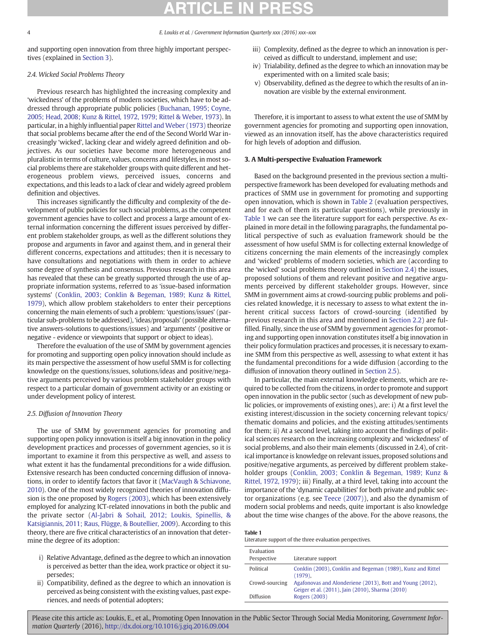<span id="page-3-0"></span>and supporting open innovation from three highly important perspectives (explained in Section 3).

# 2.4. Wicked Social Problems Theory

Previous research has highlighted the increasing complexity and 'wickedness' of the problems of modern societies, which have to be addressed through appropriate public policies ([Buchanan, 1995; Coyne,](#page-9-0) [2005; Head, 2008; Kunz & Rittel, 1972, 1979; Rittel & Weber, 1973](#page-9-0)). In particular, in a highly influential paper [Rittel and Weber \(1973\)](#page-10-0) theorize that social problems became after the end of the Second World War increasingly 'wicked', lacking clear and widely agreed definition and objectives. As our societies have become more heterogeneous and pluralistic in terms of culture, values, concerns and lifestyles, in most social problems there are stakeholder groups with quite different and heterogeneous problem views, perceived issues, concerns and expectations, and this leads to a lack of clear and widely agreed problem definition and objectives.

This increases significantly the difficulty and complexity of the development of public policies for such social problems, as the competent government agencies have to collect and process a large amount of external information concerning the different issues perceived by different problem stakeholder groups, as well as the different solutions they propose and arguments in favor and against them, and in general their different concerns, expectations and attitudes; then it is necessary to have consultations and negotiations with them in order to achieve some degree of synthesis and consensus. Previous research in this area has revealed that these can be greatly supported through the use of appropriate information systems, referred to as 'issue-based information systems' ([Conklin, 2003; Conklin & Begeman, 1989; Kunz & Rittel,](#page-10-0) [1979\)](#page-10-0), which allow problem stakeholders to enter their perceptions concerning the main elements of such a problem: 'questions/issues' (particular sub-problems to be addressed), 'ideas/proposals' (possible alternative answers-solutions to questions/issues) and 'arguments' (positive or negative - evidence or viewpoints that support or object to ideas).

Therefore the evaluation of the use of SMM by government agencies for promoting and supporting open policy innovation should include as its main perspective the assessment of how useful SMM is for collecting knowledge on the questions/issues, solutions/ideas and positive/negative arguments perceived by various problem stakeholder groups with respect to a particular domain of government activity or an existing or under development policy of interest.

# 2.5. Diffusion of Innovation Theory

The use of SMM by government agencies for promoting and supporting open policy innovation is itself a big innovation in the policy development practices and processes of government agencies, so it is important to examine it from this perspective as well, and assess to what extent it has the fundamental preconditions for a wide diffusion. Extensive research has been conducted concerning diffusion of innovations, in order to identify factors that favor it [\(MacVaugh & Schiavone,](#page-10-0) [2010\)](#page-10-0). One of the most widely recognized theories of innovation diffusion is the one proposed by [Rogers \(2003\)](#page-10-0), which has been extensively employed for analyzing ICT-related innovations in both the public and the private sector [\(Al-Jabri & Sohail, 2012; Loukis, Spinellis, &](#page-9-0) [Katsigiannis, 2011; Raus, Flügge, & Boutellier, 2009](#page-9-0)). According to this theory, there are five critical characteristics of an innovation that determine the degree of its adoption:

- i) Relative Advantage, defined as the degree to which an innovation is perceived as better than the idea, work practice or object it supersedes;
- ii) Compatibility, defined as the degree to which an innovation is perceived as being consistent with the existing values, past experiences, and needs of potential adopters;
- iii) Complexity, defined as the degree to which an innovation is perceived as difficult to understand, implement and use;
- iv) Trialability, defined as the degree to which an innovation may be experimented with on a limited scale basis;
- v) Observability, defined as the degree to which the results of an innovation are visible by the external environment.

Therefore, it is important to assess to what extent the use of SMM by government agencies for promoting and supporting open innovation, viewed as an innovation itself, has the above characteristics required for high levels of adoption and diffusion.

# 3. A Multi-perspective Evaluation Framework

Based on the background presented in the previous section a multiperspective framework has been developed for evaluating methods and practices of SMM use in government for promoting and supporting open innovation, which is shown in [Table 2](#page-4-0) (evaluation perspectives, and for each of them its particular questions), while previously in Table 1 we can see the literature support for each perspective. As explained in more detail in the following paragraphs, the fundamental political perspective of such as evaluation framework should be the assessment of how useful SMM is for collecting external knowledge of citizens concerning the main elements of the increasingly complex and 'wicked' problems of modern societies, which are (according to the 'wicked' social problems theory outlined in Section 2.4) the issues, proposed solutions of them and relevant positive and negative arguments perceived by different stakeholder groups. However, since SMM in government aims at crowd-sourcing public problems and policies related knowledge, it is necessary to assess to what extent the inherent critical success factors of crowd-sourcing (identified by previous research in this area and mentioned in [Section 2.2](#page-2-0)) are fulfilled. Finally, since the use of SMM by government agencies for promoting and supporting open innovation constitutes itself a big innovation in their policy formulation practices and processes, it is necessary to examine SMM from this perspective as well, assessing to what extent it has the fundamental preconditions for a wide diffusion (according to the diffusion of innovation theory outlined in Section 2.5).

In particular, the main external knowledge elements, which are required to be collected from the citizens, in order to promote and support open innovation in the public sector (such as development of new public policies, or improvements of existing ones), are: i) At a first level the existing interest/discussion in the society concerning relevant topics/ thematic domains and policies, and the existing attitudes/sentiments for them; ii) At a second level, taking into account the findings of political sciences research on the increasing complexity and 'wickedness' of social problems, and also their main elements (discussed in 2.4), of critical importance is knowledge on relevant issues, proposed solutions and positive/negative arguments, as perceived by different problem stakeholder groups ([Conklin, 2003; Conklin & Begeman, 1989; Kunz &](#page-10-0) [Rittel, 1972, 1979\)](#page-10-0); iii) Finally, at a third level, taking into account the importance of the 'dynamic capabilities' for both private and public sector organizations (e.g. see [Teece \(2007\)\)](#page-10-0), and also the dynamism of modern social problems and needs, quite important is also knowledge about the time wise changes of the above. For the above reasons, the

### Table 1 Literature support of the three evaluation perspectives.

| Evaluation<br>Perspective<br>Literature support<br>Conklin (2003), Conklin and Begeman (1989), Kunz and Rittel<br>Political<br>(1979).<br>Crowd-sourcing<br>Agafonovas and Alonderiene (2013), Bott and Young (2012),<br>Geiger et al. (2011), Jain (2010), Sharma (2010)<br>Rogers (2003)<br>Diffusion |  |
|---------------------------------------------------------------------------------------------------------------------------------------------------------------------------------------------------------------------------------------------------------------------------------------------------------|--|
|                                                                                                                                                                                                                                                                                                         |  |
|                                                                                                                                                                                                                                                                                                         |  |
|                                                                                                                                                                                                                                                                                                         |  |
|                                                                                                                                                                                                                                                                                                         |  |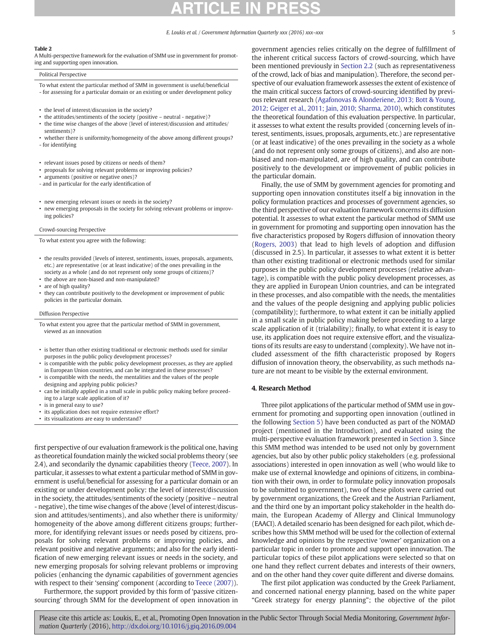### <span id="page-4-0"></span>Table 2

A Multi-perspective framework for the evaluation of SMM use in government for promoting and supporting open innovation.

### Political Perspective

- To what extent the particular method of SMM in government is useful/beneficial
- for assessing for a particular domain or an existing or under development policy
- the level of interest/discussion in the society?
- the attitudes/sentiments of the society (positive neutral negative)?
- the time wise changes of the above (level of interest/discussion and attitudes/ sentiments)?
- whether there is uniformity/homogeneity of the above among different groups? - for identifying
- relevant issues posed by citizens or needs of them?
- proposals for solving relevant problems or improving policies?
- arguments (positive or negative ones)?
- and in particular for the early identification of
- new emerging relevant issues or needs in the society?
- new emerging proposals in the society for solving relevant problems or improving policies?
- Crowd-sourcing Perspective

To what extent you agree with the following:

- the results provided (levels of interest, sentiments, issues, proposals, arguments, etc.) are representative (or at least indicative) of the ones prevailing in the society as a whole (and do not represent only some groups of citizens)? • the above are non-biased and non-manipulated?
- are of high quality?
- they can contribute positively to the development or improvement of public
- policies in the particular domain.

### Diffusion Perspective

- To what extent you agree that the particular method of SMM in government, viewed as an innovation
- is better than other existing traditional or electronic methods used for similar purposes in the public policy development processes?
- is compatible with the public policy development processes, as they are applied in European Union countries, and can be integrated in these processes?
- is compatible with the needs, the mentalities and the values of the people designing and applying public policies?
- can be initially applied in a small scale in public policy making before proceeding to a large scale application of it?
- is in general easy to use?
- its application does not require extensive effort?
- its visualizations are easy to understand?

first perspective of our evaluation framework is the political one, having as theoretical foundation mainly the wicked social problems theory (see 2.4), and secondarily the dynamic capabilities theory [\(Teece, 2007](#page-10-0)). In particular, it assesses to what extent a particular method of SMM in government is useful/beneficial for assessing for a particular domain or an existing or under development policy: the level of interest/discussion in the society, the attitudes/sentiments of the society (positive – neutral - negative), the time wise changes of the above (level of interest/discussion and attitudes/sentiments), and also whether there is uniformity/ homogeneity of the above among different citizens groups; furthermore, for identifying relevant issues or needs posed by citizens, proposals for solving relevant problems or improving policies, and relevant positive and negative arguments; and also for the early identification of new emerging relevant issues or needs in the society, and new emerging proposals for solving relevant problems or improving policies (enhancing the dynamic capabilities of government agencies with respect to their 'sensing' component (according to [Teece \(2007\)](#page-10-0)).

Furthermore, the support provided by this form of 'passive citizensourcing' through SMM for the development of open innovation in government agencies relies critically on the degree of fulfillment of the inherent critical success factors of crowd-sourcing, which have been mentioned previously in [Section 2.2](#page-2-0) (such as representativeness of the crowd, lack of bias and manipulation). Therefore, the second perspective of our evaluation framework assesses the extent of existence of the main critical success factors of crowd-sourcing identified by previous relevant research [\(Agafonovas & Alonderiene, 2013; Bott & Young,](#page-9-0) [2012; Geiger et al., 2011; Jain, 2010; Sharma, 2010](#page-9-0)), which constitutes the theoretical foundation of this evaluation perspective. In particular, it assesses to what extent the results provided (concerning levels of interest, sentiments, issues, proposals, arguments, etc.) are representative (or at least indicative) of the ones prevailing in the society as a whole (and do not represent only some groups of citizens), and also are nonbiased and non-manipulated, are of high quality, and can contribute positively to the development or improvement of public policies in the particular domain.

Finally, the use of SMM by government agencies for promoting and supporting open innovation constitutes itself a big innovation in the policy formulation practices and processes of government agencies, so the third perspective of our evaluation framework concerns its diffusion potential. It assesses to what extent the particular method of SMM use in government for promoting and supporting open innovation has the five characteristics proposed by Rogers diffusion of innovation theory [\(Rogers, 2003](#page-10-0)) that lead to high levels of adoption and diffusion (discussed in 2.5). In particular, it assesses to what extent it is better than other existing traditional or electronic methods used for similar purposes in the public policy development processes (relative advantage), is compatible with the public policy development processes, as they are applied in European Union countries, and can be integrated in these processes, and also compatible with the needs, the mentalities and the values of the people designing and applying public policies (compatibility); furthermore, to what extent it can be initially applied in a small scale in public policy making before proceeding to a large scale application of it (trialability); finally, to what extent it is easy to use, its application does not require extensive effort, and the visualizations of its results are easy to understand (complexity). We have not included assessment of the fifth characteristic proposed by Rogers diffusion of innovation theory, the observability, as such methods nature are not meant to be visible by the external environment.

## 4. Research Method

Three pilot applications of the particular method of SMM use in government for promoting and supporting open innovation (outlined in the following [Section 5](#page-5-0)) have been conducted as part of the NOMAD project (mentioned in the Introduction), and evaluated using the multi-perspective evaluation framework presented in [Section 3.](#page-3-0) Since this SMM method was intended to be used not only by government agencies, but also by other public policy stakeholders (e.g. professional associations) interested in open innovation as well (who would like to make use of external knowledge and opinions of citizens, in combination with their own, in order to formulate policy innovation proposals to be submitted to government), two of these pilots were carried out by government organizations, the Greek and the Austrian Parliament, and the third one by an important policy stakeholder in the health domain, the European Academy of Allergy and Clinical Immunology (EAACI). A detailed scenario has been designed for each pilot, which describes how this SMM method will be used for the collection of external knowledge and opinions by the respective 'owner' organization on a particular topic in order to promote and support open innovation. The particular topics of these pilot applications were selected so that on one hand they reflect current debates and interests of their owners, and on the other hand they cover quite different and diverse domains.

The first pilot application was conducted by the Greek Parliament, and concerned national energy planning, based on the white paper "Greek strategy for energy planning"; the objective of the pilot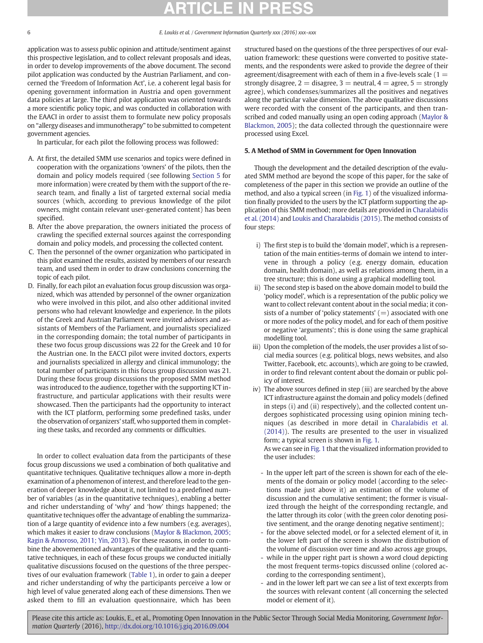<span id="page-5-0"></span>

application was to assess public opinion and attitude/sentiment against this prospective legislation, and to collect relevant proposals and ideas, in order to develop improvements of the above document. The second pilot application was conducted by the Austrian Parliament, and concerned the 'Freedom of Information Act', i.e. a coherent legal basis for opening government information in Austria and open government data policies at large. The third pilot application was oriented towards a more scientific policy topic, and was conducted in collaboration with the EAACI in order to assist them to formulate new policy proposals on "allergy diseases and immunotherapy" to be submitted to competent government agencies.

In particular, for each pilot the following process was followed:

- A. At first, the detailed SMM use scenarios and topics were defined in cooperation with the organizations 'owners' of the pilots, then the domain and policy models required (see following Section 5 for more information) were created by them with the support of the research team, and finally a list of targeted external social media sources (which, according to previous knowledge of the pilot owners, might contain relevant user-generated content) has been specified.
- B. After the above preparation, the owners initiated the process of crawling the specified external sources against the corresponding domain and policy models, and processing the collected content.
- C. Then the personnel of the owner organization who participated in this pilot examined the results, assisted by members of our research team, and used them in order to draw conclusions concerning the topic of each pilot.
- D. Finally, for each pilot an evaluation focus group discussion was organized, which was attended by personnel of the owner organization who were involved in this pilot, and also other additional invited persons who had relevant knowledge and experience. In the pilots of the Greek and Austrian Parliament were invited advisors and assistants of Members of the Parliament, and journalists specialized in the corresponding domain; the total number of participants in these two focus group discussions was 22 for the Greek and 10 for the Austrian one. In the EACCI pilot were invited doctors, experts and journalists specialized in allergy and clinical immunology; the total number of participants in this focus group discussion was 21. During these focus group discussions the proposed SMM method was introduced to the audience, together with the supporting ICT infrastructure, and particular applications with their results were showcased. Then the participants had the opportunity to interact with the ICT platform, performing some predefined tasks, under the observation of organizers' staff, who supported them in completing these tasks, and recorded any comments or difficulties.

In order to collect evaluation data from the participants of these focus group discussions we used a combination of both qualitative and quantitative techniques. Qualitative techniques allow a more in-depth examination of a phenomenon of interest, and therefore lead to the generation of deeper knowledge about it, not limited to a predefined number of variables (as in the quantitative techniques), enabling a better and richer understanding of 'why' and 'how' things happened; the quantitative techniques offer the advantage of enabling the summarization of a large quantity of evidence into a few numbers (e.g. averages), which makes it easier to draw conclusions [\(Maylor & Blackmon, 2005;](#page-10-0) [Ragin & Amoroso, 2011; Yin, 2013\)](#page-10-0). For these reasons, in order to combine the abovementioned advantages of the qualitative and the quantitative techniques, in each of these focus groups we conducted initially qualitative discussions focused on the questions of the three perspectives of our evaluation framework [\(Table 1](#page-3-0)), in order to gain a deeper and richer understanding of why the participants perceive a low or high level of value generated along each of these dimensions. Then we asked them to fill an evaluation questionnaire, which has been

structured based on the questions of the three perspectives of our evaluation framework: these questions were converted to positive statements, and the respondents were asked to provide the degree of their agreement/disagreement with each of them in a five-levels scale  $(1 =$ strongly disagree,  $2 =$  disagree,  $3 =$  neutral,  $4 =$  agree,  $5 =$  strongly agree), which condenses/summarizes all the positives and negatives along the particular value dimension. The above qualitative discussions were recorded with the consent of the participants, and then transcribed and coded manually using an open coding approach [\(Maylor &](#page-10-0) [Blackmon, 2005](#page-10-0)); the data collected through the questionnaire were processed using Excel.

# 5. A Method of SMM in Government for Open Innovation

Though the development and the detailed description of the evaluated SMM method are beyond the scope of this paper, for the sake of completeness of the paper in this section we provide an outline of the method, and also a typical screen (in [Fig. 1\)](#page-6-0) of the visualized information finally provided to the users by the ICT platform supporting the application of this SMM method; more details are provided in [Charalabidis](#page-9-0) [et al. \(2014\)](#page-9-0) and [Loukis and Charalabidis \(2015\)](#page-10-0). The method consists of four steps:

- i) The first step is to build the 'domain model', which is a representation of the main entities-terms of domain we intend to intervene in through a policy (e.g. energy domain, education domain, health domain), as well as relations among them, in a tree structure; this is done using a graphical modelling tool.
- ii) The second step is based on the above domain model to build the 'policy model', which is a representation of the public policy we want to collect relevant content about in the social media; it consists of a number of 'policy statements'  $(=)$  associated with one or more nodes of the policy model, and for each of them positive or negative 'arguments'; this is done using the same graphical modelling tool.
- iii) Upon the completion of the models, the user provides a list of social media sources (e.g. political blogs, news websites, and also Twitter, Facebook, etc. accounts), which are going to be crawled, in order to find relevant content about the domain or public policy of interest.
- iv) The above sources defined in step (iii) are searched by the above ICT infrastructure against the domain and policy models (defined in steps (i) and (ii) respectively), and the collected content undergoes sophisticated processing using opinion mining techniques (as described in more detail in [Charalabidis et al.](#page-9-0) [\(2014\)](#page-9-0)). The results are presented to the user in visualized form; a typical screen is shown in [Fig. 1.](#page-6-0)

As we can see in [Fig. 1](#page-6-0) that the visualized information provided to the user includes:

- In the upper left part of the screen is shown for each of the elements of the domain or policy model (according to the selections made just above it) an estimation of the volume of discussion and the cumulative sentiment; the former is visualized through the height of the corresponding rectangle, and the latter through its color (with the green color denoting positive sentiment, and the orange denoting negative sentiment);
- for the above selected model, or for a selected element of it, in the lower left part of the screen is shown the distribution of the volume of discussion over time and also across age groups,
- while in the upper right part is shown a word cloud depicting the most frequent terms-topics discussed online (colored according to the corresponding sentiment),
- and in the lower left part we can see a list of text excerpts from the sources with relevant content (all concerning the selected model or element of it).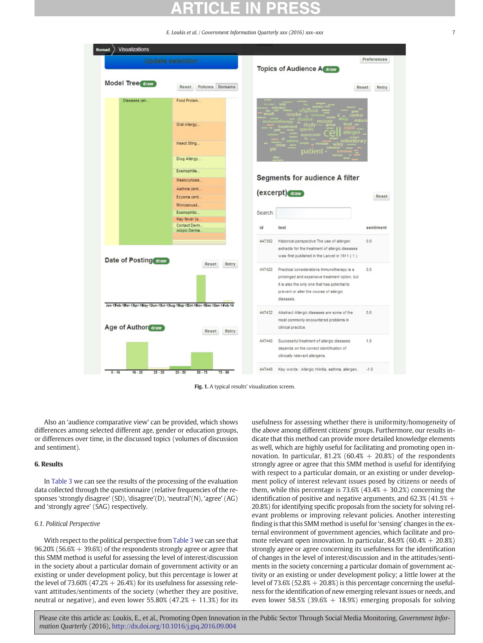<span id="page-6-0"></span>



Also an 'audience comparative view' can be provided, which shows differences among selected different age, gender or education groups, or differences over time, in the discussed topics (volumes of discussion and sentiment).

# 6. Results

In [Table 3](#page-7-0) we can see the results of the processing of the evaluation data collected through the questionnaire (relative frequencies of the responses 'strongly disagree' (SD), 'disagree'(D), 'neutral'(N), 'agree' (AG) and 'strongly agree' (SAG) respectively.

# 6.1. Political Perspective

With respect to the political perspective from [Table 3](#page-7-0) we can see that  $96.20\%$  (56.6% + 39.6%) of the respondents strongly agree or agree that this SMM method is useful for assessing the level of interest/discussion in the society about a particular domain of government activity or an existing or under development policy, but this percentage is lower at the level of 73.60% (47.2% + 26.4%) for its usefulness for assessing relevant attitudes/sentiments of the society (whether they are positive, neutral or negative), and even lower 55.80%  $(47.2% + 11.3%)$  for its

usefulness for assessing whether there is uniformity/homogeneity of the above among different citizens' groups. Furthermore, our results indicate that this method can provide more detailed knowledge elements as well, which are highly useful for facilitating and promoting open innovation. In particular,  $81.2\%$  (60.4% + 20.8%) of the respondents strongly agree or agree that this SMM method is useful for identifying with respect to a particular domain, or an existing or under development policy of interest relevant issues posed by citizens or needs of them, while this percentage is  $73.6\%$  (43.4 $\%$  + 30.2 $\%$ ) concerning the identification of positive and negative arguments, and  $62.3\%$  (41.5% + 20.8%) for identifying specific proposals from the society for solving relevant problems or improving relevant policies. Another interesting finding is that this SMM method is useful for 'sensing' changes in the external environment of government agencies, which facilitate and promote relevant open innovation. In particular, 84.9% (60.4% + 20.8%) strongly agree or agree concerning its usefulness for the identification of changes in the level of interest/discussion and in the attitudes/sentiments in the society concerning a particular domain of government activity or an existing or under development policy; a little lower at the level of  $73.6\%$  (52.8% + 20.8%) is this percentage concerning the usefulness for the identification of new emerging relevant issues or needs, and even lower 58.5% (39.6% + 18.9%) emerging proposals for solving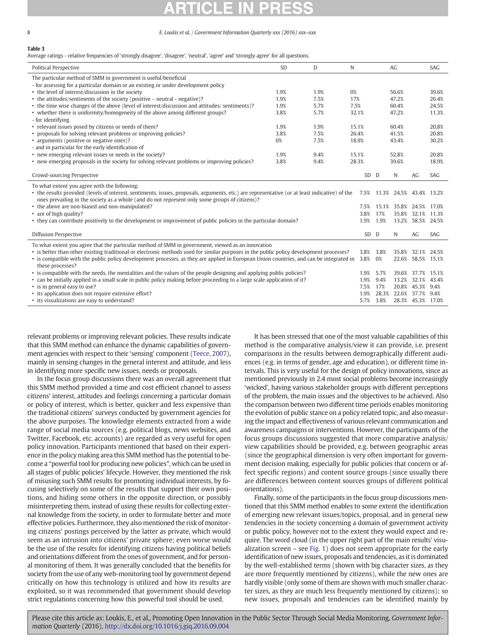<span id="page-7-0"></span>

# Table 3

Average ratings - relative frequencies of 'strongly disagree', 'disagree', 'neutral', 'agree' and 'strongly agree' for all questions.

| D<br>N<br>AG<br><b>Political Perspective</b><br><b>SD</b><br>SAG<br>The particular method of SMM in government is useful/beneficial<br>- for assessing for a particular domain or an existing or under development policy<br>• the level of interest/discussion in the society<br>1.9%<br>56.6%<br>1.9%<br>0%<br>39.6%<br>• the attitudes/sentiments of the society (positive - neutral - negative)?<br>1.9%<br>7.5%<br>17%<br>47.2%<br>26.4%<br>• the time wise changes of the above (level of interest/discussion and attitudes/ sentiments)?<br>5.7%<br>7.5%<br>1.9%<br>60.4%<br>24.5%<br>• whether there is uniformity/homogeneity of the above among different groups?<br>3.8%<br>5.7%<br>32.1%<br>47.2%<br>11.3%<br>- for identifying<br>• relevant issues posed by citizens or needs of them?<br>1.9%<br>20.8%<br>1.9%<br>15.1%<br>60.4%<br>• proposals for solving relevant problems or improving policies?<br>7.5%<br>3.8%<br>26.4%<br>41.5%<br>20.8%<br>• arguments (positive or negative ones)?<br>0%<br>7.5%<br>18.9%<br>43.4%<br>30.2%<br>- and in particular for the early identification of<br>• new emerging relevant issues or needs in the society?<br>15.1%<br>1.9%<br>9.4%<br>52.8%<br>20.8%<br>• new emerging proposals in the society for solving relevant problems or improving policies?<br>3.8%<br>9.4%<br>28.3%<br>39.6%<br>18.9%<br>Crowd-sourcing Perspective<br>SD D<br>N<br>AGr<br>SAG<br>To what extent you agree with the following:<br>• the results provided (levels of interest, sentiments, issues, proposals, arguments, etc.) are representative (or at least indicative) of the<br>11.3% 24.5% 43.4% 13.2%<br>7.5%<br>ones prevailing in the society as a whole (and do not represent only some groups of citizens)?<br>• the above are non-biased and non-manipulated?<br>7.5%<br>35.8%<br>17.0%<br>15.1%<br>24.5%<br>• are of high quality?<br>3.8%<br>17%<br>35.8% 32.1% 11.3%<br>• they can contribute positively to the development or improvement of public policies in the particular domain?<br>13.2% 58.5% 24.5%<br>1.9%<br>1.9%<br><b>Diffusion Perspective</b><br>SD D<br>N<br>AG<br>SAG<br>To what extent you agree that the particular method of SMM in government, viewed as an innovation<br>• is better than other existing traditional or electronic methods used for similar purposes in the public policy development processes?<br>3.8%<br>3.8%<br>35.8% 32.1% 24.5%<br>• is compatible with the public policy development processes, as they are applied in European Union countries, and can be integrated in<br>3.8%<br>0%<br>22.6% 58.5% 15.1%<br>these processes?<br>• is compatible with the needs, the mentalities and the values of the people designing and applying public policies?<br>5.7%<br>37.7% 15.1%<br>1.9%<br>39.6% |                                                                                                                           |  |  |  |  |  |  |  |
|---------------------------------------------------------------------------------------------------------------------------------------------------------------------------------------------------------------------------------------------------------------------------------------------------------------------------------------------------------------------------------------------------------------------------------------------------------------------------------------------------------------------------------------------------------------------------------------------------------------------------------------------------------------------------------------------------------------------------------------------------------------------------------------------------------------------------------------------------------------------------------------------------------------------------------------------------------------------------------------------------------------------------------------------------------------------------------------------------------------------------------------------------------------------------------------------------------------------------------------------------------------------------------------------------------------------------------------------------------------------------------------------------------------------------------------------------------------------------------------------------------------------------------------------------------------------------------------------------------------------------------------------------------------------------------------------------------------------------------------------------------------------------------------------------------------------------------------------------------------------------------------------------------------------------------------------------------------------------------------------------------------------------------------------------------------------------------------------------------------------------------------------------------------------------------------------------------------------------------------------------------------------------------------------------------------------------------------------------------------------------------------------------------------------------------------------------------------------------------------------------------------------------------------------------------------------------------------------------------------------------------------------------------------------------------------------------------------------------------------------------------------------------------------------------|---------------------------------------------------------------------------------------------------------------------------|--|--|--|--|--|--|--|
|                                                                                                                                                                                                                                                                                                                                                                                                                                                                                                                                                                                                                                                                                                                                                                                                                                                                                                                                                                                                                                                                                                                                                                                                                                                                                                                                                                                                                                                                                                                                                                                                                                                                                                                                                                                                                                                                                                                                                                                                                                                                                                                                                                                                                                                                                                                                                                                                                                                                                                                                                                                                                                                                                                                                                                                                   |                                                                                                                           |  |  |  |  |  |  |  |
|                                                                                                                                                                                                                                                                                                                                                                                                                                                                                                                                                                                                                                                                                                                                                                                                                                                                                                                                                                                                                                                                                                                                                                                                                                                                                                                                                                                                                                                                                                                                                                                                                                                                                                                                                                                                                                                                                                                                                                                                                                                                                                                                                                                                                                                                                                                                                                                                                                                                                                                                                                                                                                                                                                                                                                                                   |                                                                                                                           |  |  |  |  |  |  |  |
|                                                                                                                                                                                                                                                                                                                                                                                                                                                                                                                                                                                                                                                                                                                                                                                                                                                                                                                                                                                                                                                                                                                                                                                                                                                                                                                                                                                                                                                                                                                                                                                                                                                                                                                                                                                                                                                                                                                                                                                                                                                                                                                                                                                                                                                                                                                                                                                                                                                                                                                                                                                                                                                                                                                                                                                                   |                                                                                                                           |  |  |  |  |  |  |  |
|                                                                                                                                                                                                                                                                                                                                                                                                                                                                                                                                                                                                                                                                                                                                                                                                                                                                                                                                                                                                                                                                                                                                                                                                                                                                                                                                                                                                                                                                                                                                                                                                                                                                                                                                                                                                                                                                                                                                                                                                                                                                                                                                                                                                                                                                                                                                                                                                                                                                                                                                                                                                                                                                                                                                                                                                   |                                                                                                                           |  |  |  |  |  |  |  |
|                                                                                                                                                                                                                                                                                                                                                                                                                                                                                                                                                                                                                                                                                                                                                                                                                                                                                                                                                                                                                                                                                                                                                                                                                                                                                                                                                                                                                                                                                                                                                                                                                                                                                                                                                                                                                                                                                                                                                                                                                                                                                                                                                                                                                                                                                                                                                                                                                                                                                                                                                                                                                                                                                                                                                                                                   |                                                                                                                           |  |  |  |  |  |  |  |
|                                                                                                                                                                                                                                                                                                                                                                                                                                                                                                                                                                                                                                                                                                                                                                                                                                                                                                                                                                                                                                                                                                                                                                                                                                                                                                                                                                                                                                                                                                                                                                                                                                                                                                                                                                                                                                                                                                                                                                                                                                                                                                                                                                                                                                                                                                                                                                                                                                                                                                                                                                                                                                                                                                                                                                                                   |                                                                                                                           |  |  |  |  |  |  |  |
|                                                                                                                                                                                                                                                                                                                                                                                                                                                                                                                                                                                                                                                                                                                                                                                                                                                                                                                                                                                                                                                                                                                                                                                                                                                                                                                                                                                                                                                                                                                                                                                                                                                                                                                                                                                                                                                                                                                                                                                                                                                                                                                                                                                                                                                                                                                                                                                                                                                                                                                                                                                                                                                                                                                                                                                                   |                                                                                                                           |  |  |  |  |  |  |  |
|                                                                                                                                                                                                                                                                                                                                                                                                                                                                                                                                                                                                                                                                                                                                                                                                                                                                                                                                                                                                                                                                                                                                                                                                                                                                                                                                                                                                                                                                                                                                                                                                                                                                                                                                                                                                                                                                                                                                                                                                                                                                                                                                                                                                                                                                                                                                                                                                                                                                                                                                                                                                                                                                                                                                                                                                   |                                                                                                                           |  |  |  |  |  |  |  |
|                                                                                                                                                                                                                                                                                                                                                                                                                                                                                                                                                                                                                                                                                                                                                                                                                                                                                                                                                                                                                                                                                                                                                                                                                                                                                                                                                                                                                                                                                                                                                                                                                                                                                                                                                                                                                                                                                                                                                                                                                                                                                                                                                                                                                                                                                                                                                                                                                                                                                                                                                                                                                                                                                                                                                                                                   |                                                                                                                           |  |  |  |  |  |  |  |
|                                                                                                                                                                                                                                                                                                                                                                                                                                                                                                                                                                                                                                                                                                                                                                                                                                                                                                                                                                                                                                                                                                                                                                                                                                                                                                                                                                                                                                                                                                                                                                                                                                                                                                                                                                                                                                                                                                                                                                                                                                                                                                                                                                                                                                                                                                                                                                                                                                                                                                                                                                                                                                                                                                                                                                                                   |                                                                                                                           |  |  |  |  |  |  |  |
|                                                                                                                                                                                                                                                                                                                                                                                                                                                                                                                                                                                                                                                                                                                                                                                                                                                                                                                                                                                                                                                                                                                                                                                                                                                                                                                                                                                                                                                                                                                                                                                                                                                                                                                                                                                                                                                                                                                                                                                                                                                                                                                                                                                                                                                                                                                                                                                                                                                                                                                                                                                                                                                                                                                                                                                                   |                                                                                                                           |  |  |  |  |  |  |  |
|                                                                                                                                                                                                                                                                                                                                                                                                                                                                                                                                                                                                                                                                                                                                                                                                                                                                                                                                                                                                                                                                                                                                                                                                                                                                                                                                                                                                                                                                                                                                                                                                                                                                                                                                                                                                                                                                                                                                                                                                                                                                                                                                                                                                                                                                                                                                                                                                                                                                                                                                                                                                                                                                                                                                                                                                   |                                                                                                                           |  |  |  |  |  |  |  |
|                                                                                                                                                                                                                                                                                                                                                                                                                                                                                                                                                                                                                                                                                                                                                                                                                                                                                                                                                                                                                                                                                                                                                                                                                                                                                                                                                                                                                                                                                                                                                                                                                                                                                                                                                                                                                                                                                                                                                                                                                                                                                                                                                                                                                                                                                                                                                                                                                                                                                                                                                                                                                                                                                                                                                                                                   |                                                                                                                           |  |  |  |  |  |  |  |
|                                                                                                                                                                                                                                                                                                                                                                                                                                                                                                                                                                                                                                                                                                                                                                                                                                                                                                                                                                                                                                                                                                                                                                                                                                                                                                                                                                                                                                                                                                                                                                                                                                                                                                                                                                                                                                                                                                                                                                                                                                                                                                                                                                                                                                                                                                                                                                                                                                                                                                                                                                                                                                                                                                                                                                                                   |                                                                                                                           |  |  |  |  |  |  |  |
|                                                                                                                                                                                                                                                                                                                                                                                                                                                                                                                                                                                                                                                                                                                                                                                                                                                                                                                                                                                                                                                                                                                                                                                                                                                                                                                                                                                                                                                                                                                                                                                                                                                                                                                                                                                                                                                                                                                                                                                                                                                                                                                                                                                                                                                                                                                                                                                                                                                                                                                                                                                                                                                                                                                                                                                                   |                                                                                                                           |  |  |  |  |  |  |  |
|                                                                                                                                                                                                                                                                                                                                                                                                                                                                                                                                                                                                                                                                                                                                                                                                                                                                                                                                                                                                                                                                                                                                                                                                                                                                                                                                                                                                                                                                                                                                                                                                                                                                                                                                                                                                                                                                                                                                                                                                                                                                                                                                                                                                                                                                                                                                                                                                                                                                                                                                                                                                                                                                                                                                                                                                   |                                                                                                                           |  |  |  |  |  |  |  |
|                                                                                                                                                                                                                                                                                                                                                                                                                                                                                                                                                                                                                                                                                                                                                                                                                                                                                                                                                                                                                                                                                                                                                                                                                                                                                                                                                                                                                                                                                                                                                                                                                                                                                                                                                                                                                                                                                                                                                                                                                                                                                                                                                                                                                                                                                                                                                                                                                                                                                                                                                                                                                                                                                                                                                                                                   |                                                                                                                           |  |  |  |  |  |  |  |
|                                                                                                                                                                                                                                                                                                                                                                                                                                                                                                                                                                                                                                                                                                                                                                                                                                                                                                                                                                                                                                                                                                                                                                                                                                                                                                                                                                                                                                                                                                                                                                                                                                                                                                                                                                                                                                                                                                                                                                                                                                                                                                                                                                                                                                                                                                                                                                                                                                                                                                                                                                                                                                                                                                                                                                                                   |                                                                                                                           |  |  |  |  |  |  |  |
|                                                                                                                                                                                                                                                                                                                                                                                                                                                                                                                                                                                                                                                                                                                                                                                                                                                                                                                                                                                                                                                                                                                                                                                                                                                                                                                                                                                                                                                                                                                                                                                                                                                                                                                                                                                                                                                                                                                                                                                                                                                                                                                                                                                                                                                                                                                                                                                                                                                                                                                                                                                                                                                                                                                                                                                                   |                                                                                                                           |  |  |  |  |  |  |  |
|                                                                                                                                                                                                                                                                                                                                                                                                                                                                                                                                                                                                                                                                                                                                                                                                                                                                                                                                                                                                                                                                                                                                                                                                                                                                                                                                                                                                                                                                                                                                                                                                                                                                                                                                                                                                                                                                                                                                                                                                                                                                                                                                                                                                                                                                                                                                                                                                                                                                                                                                                                                                                                                                                                                                                                                                   |                                                                                                                           |  |  |  |  |  |  |  |
|                                                                                                                                                                                                                                                                                                                                                                                                                                                                                                                                                                                                                                                                                                                                                                                                                                                                                                                                                                                                                                                                                                                                                                                                                                                                                                                                                                                                                                                                                                                                                                                                                                                                                                                                                                                                                                                                                                                                                                                                                                                                                                                                                                                                                                                                                                                                                                                                                                                                                                                                                                                                                                                                                                                                                                                                   |                                                                                                                           |  |  |  |  |  |  |  |
|                                                                                                                                                                                                                                                                                                                                                                                                                                                                                                                                                                                                                                                                                                                                                                                                                                                                                                                                                                                                                                                                                                                                                                                                                                                                                                                                                                                                                                                                                                                                                                                                                                                                                                                                                                                                                                                                                                                                                                                                                                                                                                                                                                                                                                                                                                                                                                                                                                                                                                                                                                                                                                                                                                                                                                                                   |                                                                                                                           |  |  |  |  |  |  |  |
|                                                                                                                                                                                                                                                                                                                                                                                                                                                                                                                                                                                                                                                                                                                                                                                                                                                                                                                                                                                                                                                                                                                                                                                                                                                                                                                                                                                                                                                                                                                                                                                                                                                                                                                                                                                                                                                                                                                                                                                                                                                                                                                                                                                                                                                                                                                                                                                                                                                                                                                                                                                                                                                                                                                                                                                                   |                                                                                                                           |  |  |  |  |  |  |  |
|                                                                                                                                                                                                                                                                                                                                                                                                                                                                                                                                                                                                                                                                                                                                                                                                                                                                                                                                                                                                                                                                                                                                                                                                                                                                                                                                                                                                                                                                                                                                                                                                                                                                                                                                                                                                                                                                                                                                                                                                                                                                                                                                                                                                                                                                                                                                                                                                                                                                                                                                                                                                                                                                                                                                                                                                   |                                                                                                                           |  |  |  |  |  |  |  |
|                                                                                                                                                                                                                                                                                                                                                                                                                                                                                                                                                                                                                                                                                                                                                                                                                                                                                                                                                                                                                                                                                                                                                                                                                                                                                                                                                                                                                                                                                                                                                                                                                                                                                                                                                                                                                                                                                                                                                                                                                                                                                                                                                                                                                                                                                                                                                                                                                                                                                                                                                                                                                                                                                                                                                                                                   |                                                                                                                           |  |  |  |  |  |  |  |
|                                                                                                                                                                                                                                                                                                                                                                                                                                                                                                                                                                                                                                                                                                                                                                                                                                                                                                                                                                                                                                                                                                                                                                                                                                                                                                                                                                                                                                                                                                                                                                                                                                                                                                                                                                                                                                                                                                                                                                                                                                                                                                                                                                                                                                                                                                                                                                                                                                                                                                                                                                                                                                                                                                                                                                                                   |                                                                                                                           |  |  |  |  |  |  |  |
|                                                                                                                                                                                                                                                                                                                                                                                                                                                                                                                                                                                                                                                                                                                                                                                                                                                                                                                                                                                                                                                                                                                                                                                                                                                                                                                                                                                                                                                                                                                                                                                                                                                                                                                                                                                                                                                                                                                                                                                                                                                                                                                                                                                                                                                                                                                                                                                                                                                                                                                                                                                                                                                                                                                                                                                                   |                                                                                                                           |  |  |  |  |  |  |  |
|                                                                                                                                                                                                                                                                                                                                                                                                                                                                                                                                                                                                                                                                                                                                                                                                                                                                                                                                                                                                                                                                                                                                                                                                                                                                                                                                                                                                                                                                                                                                                                                                                                                                                                                                                                                                                                                                                                                                                                                                                                                                                                                                                                                                                                                                                                                                                                                                                                                                                                                                                                                                                                                                                                                                                                                                   |                                                                                                                           |  |  |  |  |  |  |  |
| 1.9%<br>9.4%<br>13.2% 32.1% 43.4%                                                                                                                                                                                                                                                                                                                                                                                                                                                                                                                                                                                                                                                                                                                                                                                                                                                                                                                                                                                                                                                                                                                                                                                                                                                                                                                                                                                                                                                                                                                                                                                                                                                                                                                                                                                                                                                                                                                                                                                                                                                                                                                                                                                                                                                                                                                                                                                                                                                                                                                                                                                                                                                                                                                                                                 | • can be initially applied in a small scale in public policy making before proceeding to a large scale application of it? |  |  |  |  |  |  |  |
| • is in general easy to use?<br>7.5%<br>17%<br>20.8% 45.3% 9.4%                                                                                                                                                                                                                                                                                                                                                                                                                                                                                                                                                                                                                                                                                                                                                                                                                                                                                                                                                                                                                                                                                                                                                                                                                                                                                                                                                                                                                                                                                                                                                                                                                                                                                                                                                                                                                                                                                                                                                                                                                                                                                                                                                                                                                                                                                                                                                                                                                                                                                                                                                                                                                                                                                                                                   |                                                                                                                           |  |  |  |  |  |  |  |
| • its application does not require extensive effort?<br>28.3%<br>22.6% 37.7% 9.4%<br>1.9%                                                                                                                                                                                                                                                                                                                                                                                                                                                                                                                                                                                                                                                                                                                                                                                                                                                                                                                                                                                                                                                                                                                                                                                                                                                                                                                                                                                                                                                                                                                                                                                                                                                                                                                                                                                                                                                                                                                                                                                                                                                                                                                                                                                                                                                                                                                                                                                                                                                                                                                                                                                                                                                                                                         |                                                                                                                           |  |  |  |  |  |  |  |
| • its visualizations are easy to understand?<br>5.7%<br>3.8%<br>28.3% 45.3% 17.0%                                                                                                                                                                                                                                                                                                                                                                                                                                                                                                                                                                                                                                                                                                                                                                                                                                                                                                                                                                                                                                                                                                                                                                                                                                                                                                                                                                                                                                                                                                                                                                                                                                                                                                                                                                                                                                                                                                                                                                                                                                                                                                                                                                                                                                                                                                                                                                                                                                                                                                                                                                                                                                                                                                                 |                                                                                                                           |  |  |  |  |  |  |  |

relevant problems or improving relevant policies. These results indicate that this SMM method can enhance the dynamic capabilities of government agencies with respect to their 'sensing' component [\(Teece, 2007\)](#page-10-0), mainly in sensing changes in the general interest and attitude, and less in identifying more specific new issues, needs or proposals.

In the focus group discussions there was an overall agreement that this SMM method provided a time and cost efficient channel to assess citizens' interest, attitudes and feelings concerning a particular domain or policy of interest, which is better, quicker and less expensive than the traditional citizens' surveys conducted by government agencies for the above purposes. The knowledge elements extracted from a wide range of social media sources (e.g. political blogs, news websites, and Twitter, Facebook, etc. accounts) are regarded as very useful for open policy innovation. Participants mentioned that based on their experience in the policy making area this SMM method has the potential to become a "powerful tool for producing new policies", which can be used in all stages of public policies' lifecycle. However, they mentioned the risk of misusing such SMM results for promoting individual interests, by focusing selectively on some of the results that support their own positions, and hiding some others in the opposite direction, or possibly misinterpreting them, instead of using these results for collecting external knowledge from the society, in order to formulate better and more effective policies. Furthermore, they also mentioned the risk of monitoring citizens' postings perceived by the latter as private, which would seem as an intrusion into citizens' private sphere; even worse would be the use of the results for identifying citizens having political beliefs and orientations different from the ones of government, and for personal monitoring of them. It was generally concluded that the benefits for society from the use of any web-monitoring tool by government depend critically on how this technology is utilized and how its results are exploited, so it was recommended that government should develop strict regulations concerning how this powerful tool should be used.

It has been stressed that one of the most valuable capabilities of this method is the comparative analysis/view it can provide, i.e. present comparisons in the results between demographically different audiences (e.g. in terms of gender, age and education), or different time intervals. This is very useful for the design of policy innovations, since as mentioned previously in 2.4 most social problems become increasingly 'wicked', having various stakeholder groups with different perceptions of the problem, the main issues and the objectives to be achieved. Also the comparison between two different time periods enables monitoring the evolution of public stance on a policy related topic, and also measuring the impact and effectiveness of various relevant communication and awareness campaigns or interventions. However, the participants of the focus groups discussions suggested that more comparative analysis/ view capabilities should be provided, e.g. between geographic areas (since the geographical dimension is very often important for government decision making, especially for public policies that concern or affect specific regions) and content source groups (since usually there are differences between content sources groups of different political orientations).

Finally, some of the participants in the focus group discussions mentioned that this SMM method enables to some extent the identification of emerging new relevant issues/topics, proposal, and in general new tendencies in the society concerning a domain of government activity or public policy, however not to the extent they would expect and require. The word cloud (in the upper right part of the main results' visualization screen – see [Fig. 1\)](#page-6-0) does not seem appropriate for the early identification of new issues, proposals and tendencies, as it is dominated by the well-established terms (shown with big character sizes, as they are more frequently mentioned by citizens), while the new ones are hardly visible (only some of them are shown with much smaller character sizes, as they are much less frequently mentioned by citizens); so new issues, proposals and tendencies can be identified mainly by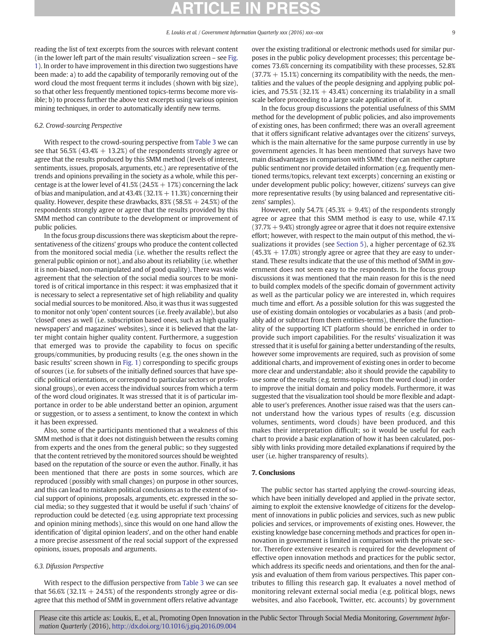<span id="page-8-0"></span>reading the list of text excerpts from the sources with relevant content (in the lower left part of the main results' visualization screen – see [Fig.](#page-6-0) [1\)](#page-6-0). In order to have improvement in this direction two suggestions have been made: a) to add the capability of temporarily removing out of the word cloud the most frequent terms it includes (shown with big size), so that other less frequently mentioned topics-terms become more visible; b) to process further the above text excerpts using various opinion mining techniques, in order to automatically identify new terms.

### 6.2. Crowd-sourcing Perspective

With respect to the crowd-souring perspective from [Table 3](#page-7-0) we can see that  $56.5\%$  ( $43.4\%$  +  $13.2\%$ ) of the respondents strongly agree or agree that the results produced by this SMM method (levels of interest, sentiments, issues, proposals, arguments, etc.) are representative of the trends and opinions prevailing in the society as a whole, while this percentage is at the lower level of 41.5% ( $24.5% + 17%$ ) concerning the lack of bias and manipulation, and at  $43.4\%$  ( $32.1\% + 11.3\%$ ) concerning their quality. However, despite these drawbacks,  $83\%$  ( $58.5\%$  +  $24.5\%$ ) of the respondents strongly agree or agree that the results provided by this SMM method can contribute to the development or improvement of public policies.

In the focus group discussions there was skepticism about the representativeness of the citizens' groups who produce the content collected from the monitored social media (i.e. whether the results reflect the general public opinion or not), and also about its reliability (i.e. whether it is non-biased, non-manipulated and of good quality). There was wide agreement that the selection of the social media sources to be monitored is of critical importance in this respect: it was emphasized that it is necessary to select a representative set of high reliability and quality social medial sources to be monitored. Also, it was thus it was suggested to monitor not only 'open' content sources (i.e. freely available), but also 'closed' ones as well (i.e. subscription based ones, such as high quality newspapers' and magazines' websites), since it is believed that the latter might contain higher quality content. Furthermore, a suggestion that emerged was to provide the capability to focus on specific groups/communities, by producing results (e.g. the ones shown in the basic results' screen shown in [Fig. 1\)](#page-6-0) corresponding to specific groups of sources (i.e. for subsets of the initially defined sources that have specific political orientations, or correspond to particular sectors or professional groups), or even access the individual sources from which a term of the word cloud originates. It was stressed that it is of particular importance in order to be able understand better an opinion, argument or suggestion, or to assess a sentiment, to know the context in which it has been expressed.

Also, some of the participants mentioned that a weakness of this SMM method is that it does not distinguish between the results coming from experts and the ones from the general public; so they suggested that the content retrieved by the monitored sources should be weighted based on the reputation of the source or even the author. Finally, it has been mentioned that there are posts in some sources, which are reproduced (possibly with small changes) on purpose in other sources, and this can lead to mistaken political conclusions as to the extent of social support of opinions, proposals, arguments, etc. expressed in the social media; so they suggested that it would be useful if such 'chains' of reproduction could be detected (e.g. using appropriate text processing and opinion mining methods), since this would on one hand allow the identification of 'digital opinion leaders', and on the other hand enable a more precise assessment of the real social support of the expressed opinions, issues, proposals and arguments.

# 6.3. Difussion Perspective

With respect to the diffusion perspective from [Table 3](#page-7-0) we can see that 56.6% (32.1%  $+$  24.5%) of the respondents strongly agree or disagree that this method of SMM in government offers relative advantage over the existing traditional or electronic methods used for similar purposes in the public policy development processes; this percentage becomes 73.6% concerning its compatibility with these processes, 52.8%  $(37.7% + 15.1%)$  concerning its compatibility with the needs, the mentalities and the values of the people designing and applying public policies, and  $75.5\%$  (32.1% + 43.4%) concerning its trialability in a small scale before proceeding to a large scale application of it.

In the focus group discussions the potential usefulness of this SMM method for the development of public policies, and also improvements of existing ones, has been confirmed; there was an overall agreement that it offers significant relative advantages over the citizens' surveys, which is the main alternative for the same purpose currently in use by government agencies. It has been mentioned that surveys have two main disadvantages in comparison with SMM: they can neither capture public sentiment nor provide detailed information (e.g. frequently mentioned terms/topics, relevant text excerpts) concerning an existing or under development public policy; however, citizens' surveys can give more representative results (by using balanced and representative citizens' samples).

However, only 54.7% (45.3%  $+$  9.4%) of the respondents strongly agree or agree that this SMM method is easy to use, while 47.1%  $(37.7% + 9.4%)$  strongly agree or agree that it does not require extensive effort; however, with respect to the main output of this method, the visualizations it provides (see [Section 5\)](#page-5-0), a higher percentage of 62.3%  $(45.3% + 17.0%)$  strongly agree or agree that they are easy to understand. These results indicate that the use of this method of SMM in government does not seem easy to the respondents. In the focus group discussions it was mentioned that the main reason for this is the need to build complex models of the specific domain of government activity as well as the particular policy we are interested in, which requires much time and effort. As a possible solution for this was suggested the use of existing domain ontologies or vocabularies as a basis (and probably add or subtract from them entities-terms), therefore the functionality of the supporting ICT platform should be enriched in order to provide such import capabilities. For the results' visualization it was stressed that it is useful for gaining a better understanding of the results, however some improvements are required, such as provision of some additional charts, and improvement of existing ones in order to become more clear and understandable; also it should provide the capability to use some of the results (e.g. terms-topics from the word cloud) in order to improve the initial domain and policy models. Furthermore, it was suggested that the visualization tool should be more flexible and adaptable to user's preferences. Another issue raised was that the users cannot understand how the various types of results (e.g. discussion volumes, sentiments, word clouds) have been produced, and this makes their interpretation difficult; so it would be useful for each chart to provide a basic explanation of how it has been calculated, possibly with links providing more detailed explanations if required by the user (i.e. higher transparency of results).

# 7. Conclusions

The public sector has started applying the crowd-sourcing ideas, which have been initially developed and applied in the private sector, aiming to exploit the extensive knowledge of citizens for the development of innovations in public policies and services, such as new public policies and services, or improvements of existing ones. However, the existing knowledge base concerning methods and practices for open innovation in government is limited in comparison with the private sector. Therefore extensive research is required for the development of effective open innovation methods and practices for the public sector, which address its specific needs and orientations, and then for the analysis and evaluation of them from various perspectives. This paper contributes to filling this research gap. It evaluates a novel method of monitoring relevant external social media (e.g. political blogs, news websites, and also Facebook, Twitter, etc. accounts) by government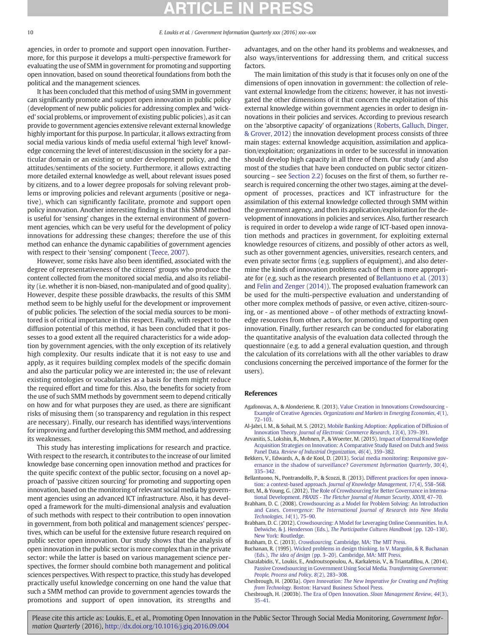<span id="page-9-0"></span>

agencies, in order to promote and support open innovation. Furthermore, for this purpose it develops a multi-perspective framework for evaluating the use of SMM in government for promoting and supporting open innovation, based on sound theoretical foundations from both the political and the management sciences.

It has been concluded that this method of using SMM in government can significantly promote and support open innovation in public policy (development of new public policies for addressing complex and 'wicked' social problems, or improvement of existing public policies), as it can provide to government agencies extensive relevant external knowledge highly important for this purpose. In particular, it allows extracting from social media various kinds of media useful external 'high level' knowledge concerning the level of interest/discussion in the society for a particular domain or an existing or under development policy, and the attitudes/sentiments of the society. Furthermore, it allows extracting more detailed external knowledge as well, about relevant issues posed by citizens, and to a lower degree proposals for solving relevant problems or improving policies and relevant arguments (positive or negative), which can significantly facilitate, promote and support open policy innovation. Another interesting finding is that this SMM method is useful for 'sensing' changes in the external environment of government agencies, which can be very useful for the development of policy innovations for addressing these changes; therefore the use of this method can enhance the dynamic capabilities of government agencies with respect to their 'sensing' component ([Teece, 2007](#page-10-0)).

However, some risks have also been identified, associated with the degree of representativeness of the citizens' groups who produce the content collected from the monitored social media, and also its reliability (i.e. whether it is non-biased, non-manipulated and of good quality). However, despite these possible drawbacks, the results of this SMM method seem to be highly useful for the development or improvement of public policies. The selection of the social media sources to be monitored is of critical importance in this respect. Finally, with respect to the diffusion potential of this method, it has been concluded that it possesses to a good extent all the required characteristics for a wide adoption by government agencies, with the only exception of its relatively high complexity. Our results indicate that it is not easy to use and apply, as it requires building complex models of the specific domain and also the particular policy we are interested in; the use of relevant existing ontologies or vocabularies as a basis for them might reduce the required effort and time for this. Also, the benefits for society from the use of such SMM methods by government seem to depend critically on how and for what purposes they are used, as there are significant risks of misusing them (so transparency and regulation in this respect are necessary). Finally, our research has identified ways/interventions for improving and further developing this SMM method, and addressing its weaknesses.

This study has interesting implications for research and practice. With respect to the research, it contributes to the increase of our limited knowledge base concerning open innovation method and practices for the quite specific context of the public sector, focusing on a novel approach of 'passive citizen sourcing' for promoting and supporting open innovation, based on the monitoring of relevant social media by government agencies using an advanced ICT infrastructure. Also, it has developed a framework for the multi-dimensional analysis and evaluation of such methods with respect to their contribution to open innovation in government, from both political and management sciences' perspectives, which can be useful for the extensive future research required on public sector open innovation. Our study shows that the analysis of open innovation in the public sector is more complex than in the private sector: while the latter is based on various management science perspectives, the former should combine both management and political sciences perspectives. With respect to practice, this study has developed practically useful knowledge concerning on one hand the value that such a SMM method can provide to government agencies towards the promotions and support of open innovation, its strengths and

advantages, and on the other hand its problems and weaknesses, and also ways/interventions for addressing them, and critical success factors.

The main limitation of this study is that it focuses only on one of the dimensions of open innovation in government: the collection of relevant external knowledge from the citizens; however, it has not investigated the other dimensions of it that concern the exploitation of this external knowledge within government agencies in order to design innovations in their policies and services. According to previous research on the 'absorptive capacity' of organizations ([Roberts, Galluch, Dinger,](#page-10-0) [& Grover, 2012\)](#page-10-0) the innovation development process consists of three main stages: external knowledge acquisition, assimilation and application/exploitation; organizations in order to be successful in innovation should develop high capacity in all three of them. Our study (and also most of the studies that have been conducted on public sector citizensourcing – see [Section 2.2](#page-2-0)) focuses on the first of them, so further research is required concerning the other two stages, aiming at the development of processes, practices and ICT infrastructure for the assimilation of this external knowledge collected through SMM within the government agency, and then its application/exploitation for the development of innovations in policies and services. Also, further research is required in order to develop a wide range of ICT-based open innovation methods and practices in government, for exploiting external knowledge resources of citizens, and possibly of other actors as well, such as other government agencies, universities, research centers, and even private sector firms (e.g. suppliers of equipment), and also determine the kinds of innovation problems each of them is more appropriate for (e.g. such as the research presented of Bellantuono et al. (2013) and [Felin and Zenger \(2014\)\)](#page-10-0). The proposed evaluation framework can be used for the multi-perspective evaluation and understanding of other more complex methods of passive, or even active, citizen-sourcing, or - as mentioned above – of other methods of extracting knowledge resources from other actors, for promoting and supporting open innovation. Finally, further research can be conducted for elaborating the quantitative analysis of the evaluation data collected through the questionnaire (e.g. to add a general evaluation question, and through the calculation of its correlations with all the other variables to draw conclusions concerning the perceived importance of the former for the users).

### References

- Agafonovas, A., & Alonderiene, R. (2013). [Value Creation in Innovations Crowdsourcing -](http://refhub.elsevier.com/S0740-624X(16)30177-0/rf0005) Example of Creative Agencies. [Organizations and Markets in Emerging Economies](http://refhub.elsevier.com/S0740-624X(16)30177-0/rf0005), 4(1), 72–[103.](http://refhub.elsevier.com/S0740-624X(16)30177-0/rf0005)
- Al-Jabri, I. M., & Sohail, M. S. (2012). [Mobile Banking Adoption: Application of Diffusion of](http://refhub.elsevier.com/S0740-624X(16)30177-0/rf0010) Innovation Theory. [Journal of Electronic Commerce Research](http://refhub.elsevier.com/S0740-624X(16)30177-0/rf0010), 13(4), 379–391.
- Arvanitis, S., Lokshin, B., Mohnen, P., & Woerter, M. (2015). [Impact of External Knowledge](http://refhub.elsevier.com/S0740-624X(16)30177-0/rf0015) [Acquisition Strategies on Innovation: A Comparative Study Based on Dutch and Swiss](http://refhub.elsevier.com/S0740-624X(16)30177-0/rf0015) Panel Data. [Review of Industrial Organization](http://refhub.elsevier.com/S0740-624X(16)30177-0/rf0015), 46(4), 359–382.
- Bekkers, V., Edwards, A., & de Kool, D. (2013). [Social media monitoring: Responsive gov](http://refhub.elsevier.com/S0740-624X(16)30177-0/rf0020)[ernance in the shadow of surveillance?](http://refhub.elsevier.com/S0740-624X(16)30177-0/rf0020) Government Information Quarterly, 30(4), 335–[342.](http://refhub.elsevier.com/S0740-624X(16)30177-0/rf0020)
- Bellantuono, N., Pontrandolfo, P., & Scozzi, B. (2013). [Different practices for open innova](http://refhub.elsevier.com/S0740-624X(16)30177-0/rf0025)tion: a context-based approach. [Journal of Knowledge Management](http://refhub.elsevier.com/S0740-624X(16)30177-0/rf0025), 17(4), 558–568.
- Bott, M., & Young, G. (2012). [The Role of Crowdsourcing for Better Governance in Interna](http://refhub.elsevier.com/S0740-624X(16)30177-0/rf0030)tional Development. [PRAXIS - The Fletcher Journal of Human Security](http://refhub.elsevier.com/S0740-624X(16)30177-0/rf0030), XXVII, 47–70.
- Brabham, D. C. (2008). [Crowdsourcing as a Model for Problem Solving: An Introduction](http://refhub.elsevier.com/S0740-624X(16)30177-0/rf0035) and Cases. [Convergence: The International Journal of Research into New Media](http://refhub.elsevier.com/S0740-624X(16)30177-0/rf0035) [Technologies](http://refhub.elsevier.com/S0740-624X(16)30177-0/rf0035), 14(1), 75–90.
- Brabham, D. C. (2012). [Crowdsourcing: A Model for Leveraging Online Communities. In A.](http://refhub.elsevier.com/S0740-624X(16)30177-0/rf0040) Delwiche, & J. Henderson (Eds.), [The Participative Cultures Handbook](http://refhub.elsevier.com/S0740-624X(16)30177-0/rf0040) (pp. 120–130). [New York: Routledge.](http://refhub.elsevier.com/S0740-624X(16)30177-0/rf0040)
- Brabham, D. C. (2013). Crowdsourcing. [Cambridge, MA: The MIT Press.](http://refhub.elsevier.com/S0740-624X(16)30177-0/rf0045)
- Buchanan, R. (1995). [Wicked problems in design thinking. In V. Margolin, & R. Buchanan](http://refhub.elsevier.com/S0740-624X(16)30177-0/rf0050) (Eds.), The idea of design (pp. 3–[20\). Cambridge, MA: MIT Press.](http://refhub.elsevier.com/S0740-624X(16)30177-0/rf0050)
- Charalabidis, Y., Loukis, E., Androutsopoulou, A., Karkaletsis, V., & Triantafillou, A. (2014). [Passive Crowdsourcing in Government Using Social Media.](http://refhub.elsevier.com/S0740-624X(16)30177-0/rf0055) Transforming Government: [People, Process and Policy](http://refhub.elsevier.com/S0740-624X(16)30177-0/rf0055), 8(2), 283–308.
- Chesbrough, H. (2003a). [Open Innovation: The New Imperative for Creating and Pro](http://refhub.elsevier.com/S0740-624X(16)30177-0/rf0060)fiting from Technology. [Boston: Harvard Business School Press.](http://refhub.elsevier.com/S0740-624X(16)30177-0/rf0060)
- Chesbrough, H. (2003b). [The Era of Open Innovation.](http://refhub.elsevier.com/S0740-624X(16)30177-0/rf0065) Sloan Management Review, 44(3), 35–[41.](http://refhub.elsevier.com/S0740-624X(16)30177-0/rf0065)